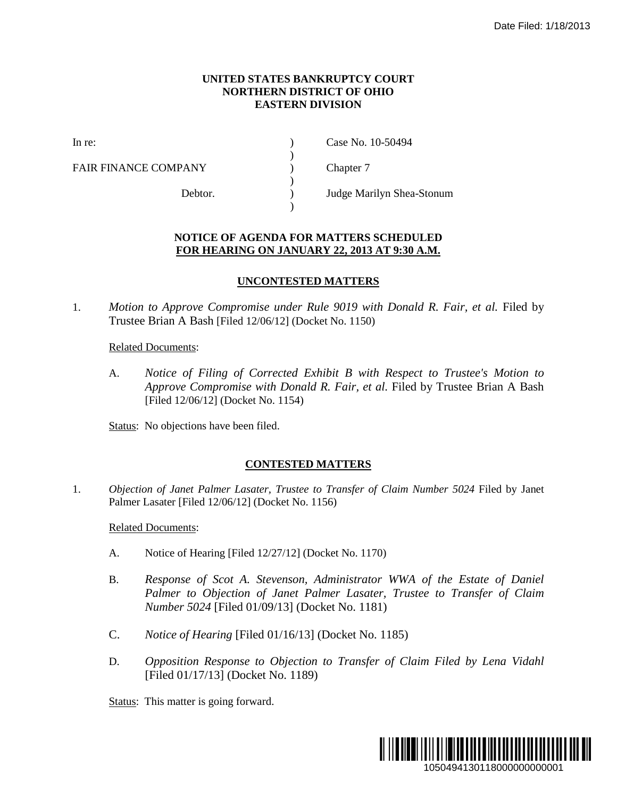#### **UNITED STATES BANKRUPTCY COURT NORTHERN DISTRICT OF OHIO EASTERN DIVISION**

)

 $\lambda$ 

)

FAIR FINANCE COMPANY (and  $\Gamma$ ) Chapter 7

In re: (a) Case No. 10-50494

Debtor. ) Judge Marilyn Shea-Stonum

## **NOTICE OF AGENDA FOR MATTERS SCHEDULED FOR HEARING ON JANUARY 22, 2013 AT 9:30 A.M.**

### **UNCONTESTED MATTERS**

1. *Motion to Approve Compromise under Rule 9019 with Donald R. Fair, et al.* Filed by Trustee Brian A Bash [Filed 12/06/12] (Docket No. 1150)

Related Documents:

A. *Notice of Filing of Corrected Exhibit B with Respect to Trustee's Motion to Approve Compromise with Donald R. Fair, et al.* Filed by Trustee Brian A Bash [Filed 12/06/12] (Docket No. 1154)

Status: No objections have been filed.

# **CONTESTED MATTERS**

1. *Objection of Janet Palmer Lasater, Trustee to Transfer of Claim Number 5024* Filed by Janet Palmer Lasater [Filed 12/06/12] (Docket No. 1156)

Related Documents:

- A. Notice of Hearing [Filed 12/27/12] (Docket No. 1170)
- B. Response of Scot A. Stevenson, Administrator WWA of the Estate of Daniel *Palmer to Objection of Janet Palmer Lasater, Trustee to Transfer of Claim Number 5024* [Filed 01/09/13] (Docket No. 1181)
- C. *Notice of Hearing* [Filed 01/16/13] (Docket No. 1185)
- D. *Opposition Response to Objection to Transfer of Claim Filed by Lena Vidahl* [Filed 01/17/13] (Docket No. 1189)

Status: This matter is going forward.